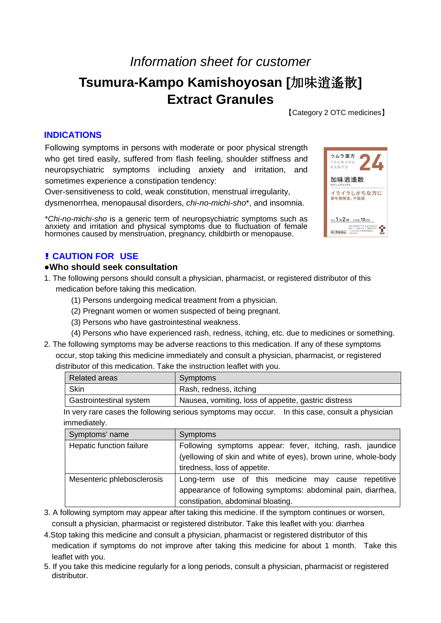## *Information sheet for customer*

# **Tsumura-Kampo Kamishoyosan [**加味逍遙散**] Extract Granules**

【Category 2 OTC medicines】

### **INDICATIONS**

Following symptoms in persons with moderate or poor physical strength who get tired easily, suffered from flash feeling, shoulder stiffness and neuropsychiatric symptoms including anxiety and irritation, and sometimes experience a constipation tendency:

Over-sensitiveness to cold, weak constitution, menstrual irregularity,

dysmenorrhea, menopausal disorders, *chi-no-michi-sho*\*, and insomnia.

\**Chi-no-michi-sho* is a generic term of neuropsychiatric symptoms such as anxiety and irritation and physical symptoms due to fluctuation of female hormones caused by menstruation, pregnancy, childbirth or menopause.



## **! CAUTION FOR USE**

#### **●Who should seek consultation**

- 1. The following persons should consult a physician, pharmacist, or registered distributor of this medication before taking this medication.
	- (1) Persons undergoing medical treatment from a physician.
	- (2) Pregnant women or women suspected of being pregnant.
	- (3) Persons who have gastrointestinal weakness.
	- (4) Persons who have experienced rash, redness, itching, etc. due to medicines or something.
- 2. The following symptoms may be adverse reactions to this medication. If any of these symptoms occur, stop taking this medicine immediately and consult a physician, pharmacist, or registered distributor of this medication. Take the instruction leaflet with you.

| Related areas           | Symptoms                                             |
|-------------------------|------------------------------------------------------|
| Skin                    | Rash, redness, itching                               |
| Gastrointestinal system | Nausea, vomiting, loss of appetite, gastric distress |

In very rare cases the following serious symptoms may occur. In this case, consult a physician immediately.

| Symptoms' name             | <b>Symptoms</b>                                                |  |  |
|----------------------------|----------------------------------------------------------------|--|--|
| Hepatic function failure   | Following symptoms appear: fever, itching, rash, jaundice      |  |  |
|                            | (yellowing of skin and white of eyes), brown urine, whole-body |  |  |
|                            | tiredness, loss of appetite.                                   |  |  |
| Mesenteric phlebosclerosis | Long-term use of this medicine may cause repetitive            |  |  |
|                            | appearance of following symptoms: abdominal pain, diarrhea,    |  |  |
|                            | constipation, abdominal bloating.                              |  |  |

- 3. A following symptom may appear after taking this medicine. If the symptom continues or worsen, consult a physician, pharmacist or registered distributor. Take this leaflet with you: diarrhea
- 4.Stop taking this medicine and consult a physician, pharmacist or registered distributor of this medication if symptoms do not improve after taking this medicine for about 1 month. Take this leaflet with you.
- 5. If you take this medicine regularly for a long periods, consult a physician, pharmacist or registered distributor.